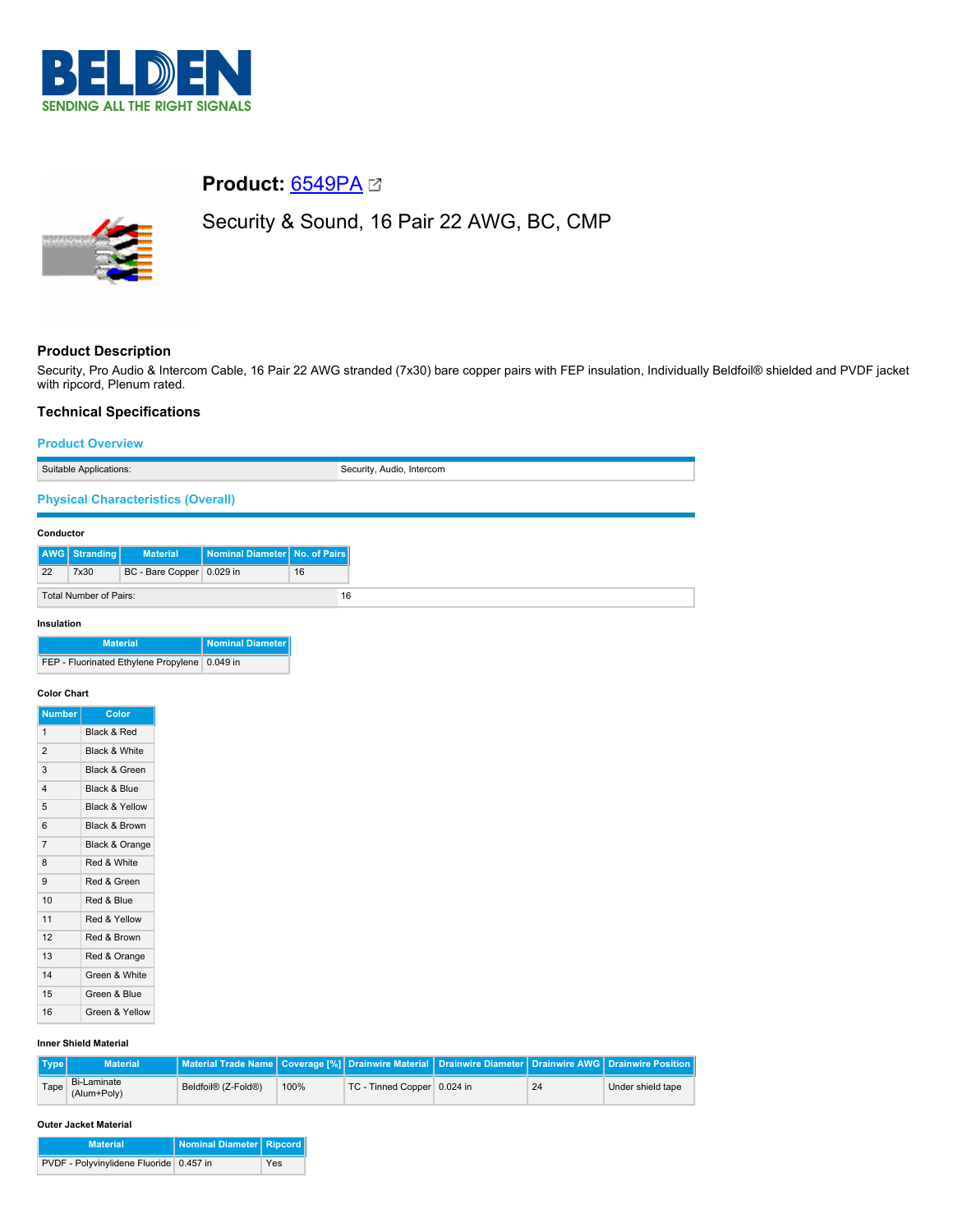

# **Product:** [6549PA](https://catalog.belden.com/index.cfm?event=pd&p=PF_6549PA&tab=downloads)

# Security & Sound, 16 Pair 22 AWG, BC, CMP



# **Product Description**

Security, Pro Audio & Intercom Cable, 16 Pair 22 AWG stranded (7x30) bare copper pairs with FEP insulation, Individually Beldfoil® shielded and PVDF jacket with ripcord, Plenum rated.

# **Technical Specifications**

# **Product Overview**

| Suitable Applications:                    |               |                           | Security, Audio, Intercom       |    |  |
|-------------------------------------------|---------------|---------------------------|---------------------------------|----|--|
| <b>Physical Characteristics (Overall)</b> |               |                           |                                 |    |  |
| Conductor                                 |               |                           |                                 |    |  |
|                                           | AWG Stranding | <b>Material</b>           | Nominal Diameter   No. of Pairs |    |  |
| 22                                        | 7x30          | BC - Bare Copper 0.029 in |                                 | 16 |  |
| Total Number of Pairs:                    |               |                           |                                 | 16 |  |

# **Insulation**

| <b>Material</b>                                 | Nominal Diameter |
|-------------------------------------------------|------------------|
| FEP - Fluorinated Ethylene Propylene   0.049 in |                  |

#### **Color Chart**

| Color                     |
|---------------------------|
| Black & Red               |
| Black & White             |
| Black & Green             |
| Black & Blue              |
| <b>Black &amp; Yellow</b> |
| Black & Brown             |
| Black & Orange            |
| Red & White               |
| Red & Green               |
| Red & Blue                |
| Red & Yellow              |
| Red & Brown               |
| Red & Orange              |
| Green & White             |
| Green & Blue              |
| Green & Yellow            |
|                           |

# **Inner Shield Material**

| $\blacksquare$ Type | <b>Material</b>            | Material Trade Name   Coverage [%] Drainwire Material   Drainwire Diameter   Drainwire AWG   Drainwire Position |      |                             |    |                   |
|---------------------|----------------------------|-----------------------------------------------------------------------------------------------------------------|------|-----------------------------|----|-------------------|
| Tape                | Bi-Laminate<br>(Alum+Poly) | Beldfoil® (Z-Fold®)                                                                                             | 100% | TC - Tinned Copper 0.024 in | 24 | Under shield tape |

#### **Outer Jacket Material**

| <b>Material</b>                         | Nominal Diameter Ripcord |     |
|-----------------------------------------|--------------------------|-----|
| PVDF - Polyvinylidene Fluoride 0.457 in |                          | Yes |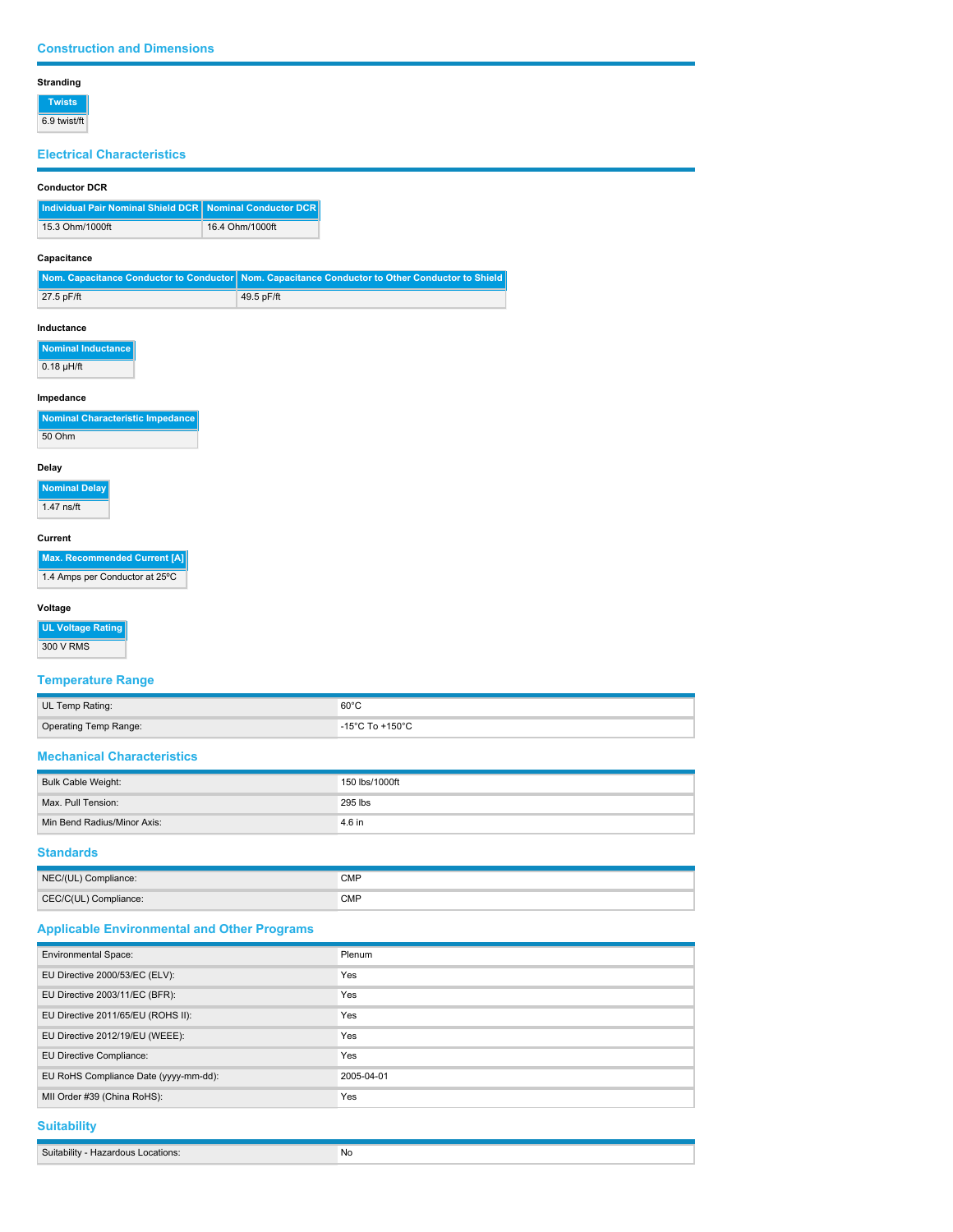#### **Stranding**

**Twists** 6.9 twist/ft

# **Electrical Characteristics**

## **Conductor DCR**

| Individual Pair Nominal Shield DCR   Nominal Conductor DCR |                 |
|------------------------------------------------------------|-----------------|
| 15.3 Ohm/1000ft                                            | 16.4 Ohm/1000ft |

## **Capacitance**

|              | Nom. Capacitance Conductor to Conductor Nom. Capacitance Conductor to Other Conductor to Shield |
|--------------|-------------------------------------------------------------------------------------------------|
| $27.5$ pF/ft | 49.5 pF/ft                                                                                      |

#### **Inductance**

| Nominal Inductance |
|--------------------|
|                    |

 $\overline{0.18 \mu H/ft}$ 

# **Impedance**

|        | Nominal Characteristic Impedance |
|--------|----------------------------------|
| 50 Ohm |                                  |

## **Delay**

| <b>Nominal Delay</b> |  |
|----------------------|--|
| $1.47$ ns/ft         |  |

#### **Current**

| <b>Max. Recommended Current [A]</b> |
|-------------------------------------|
| 1.4 Amps per Conductor at 25°C      |

## **Voltage**

**UL Voltage Rating**

300 V RMS

# **Temperature Range**

| UL Temp Rating:       | $60^{\circ}$ C                      |
|-----------------------|-------------------------------------|
| Operating Temp Range: | $-15^{\circ}$ C To $+150^{\circ}$ C |

# **Mechanical Characteristics**

| Bulk Cable Weight:          | 150 lbs/1000ft |
|-----------------------------|----------------|
| Max. Pull Tension:          | 295 lbs        |
| Min Bend Radius/Minor Axis: | 4.6 in         |

# **Standards**

| NEC/(UL) Compliance:  | <b>CMP</b> |
|-----------------------|------------|
| CEC/C(UL) Compliance: | <b>CMP</b> |

# **Applicable Environmental and Other Programs**

| <b>Environmental Space:</b>           | Plenum     |
|---------------------------------------|------------|
| EU Directive 2000/53/EC (ELV):        | <b>Yes</b> |
| EU Directive 2003/11/EC (BFR):        | Yes        |
| EU Directive 2011/65/EU (ROHS II):    | <b>Yes</b> |
| EU Directive 2012/19/EU (WEEE):       | Yes        |
| EU Directive Compliance:              | Yes        |
| EU RoHS Compliance Date (yyyy-mm-dd): | 2005-04-01 |
| MII Order #39 (China RoHS):           | Yes        |

# **Suitability**

| Suit<br><br>۸llf\<br>ations: | ' No |
|------------------------------|------|
|                              |      |